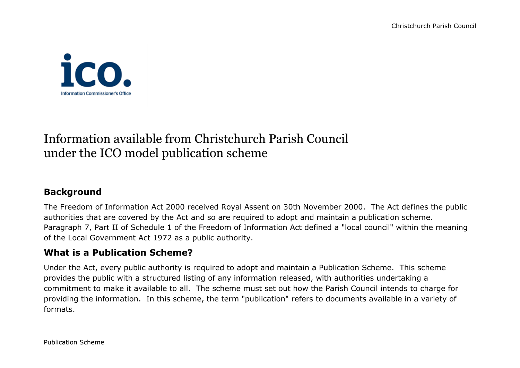

# Information available from Christchurch Parish Council under the ICO model publication scheme

# **Background**

The Freedom of Information Act 2000 received Royal Assent on 30th November 2000. The Act defines the public authorities that are covered by the Act and so are required to adopt and maintain a publication scheme. Paragraph 7, Part II of Schedule 1 of the Freedom of Information Act defined a "local council" within the meaning of the Local Government Act 1972 as a public authority.

## **What is a Publication Scheme?**

Under the Act, every public authority is required to adopt and maintain a Publication Scheme. This scheme provides the public with a structured listing of any information released, with authorities undertaking a commitment to make it available to all. The scheme must set out how the Parish Council intends to charge for providing the information. In this scheme, the term "publication" refers to documents available in a variety of formats.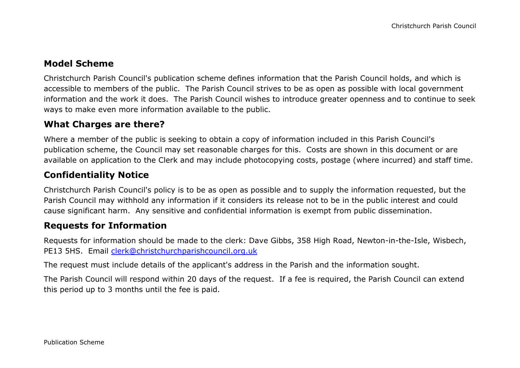## **Model Scheme**

Christchurch Parish Council's publication scheme defines information that the Parish Council holds, and which is accessible to members of the public. The Parish Council strives to be as open as possible with local government information and the work it does. The Parish Council wishes to introduce greater openness and to continue to seek ways to make even more information available to the public.

#### **What Charges are there?**

Where a member of the public is seeking to obtain a copy of information included in this Parish Council's publication scheme, the Council may set reasonable charges for this. Costs are shown in this document or are available on application to the Clerk and may include photocopying costs, postage (where incurred) and staff time.

## **Confidentiality Notice**

Christchurch Parish Council's policy is to be as open as possible and to supply the information requested, but the Parish Council may withhold any information if it considers its release not to be in the public interest and could cause significant harm. Any sensitive and confidential information is exempt from public dissemination.

#### **Requests for Information**

Requests for information should be made to the clerk: Dave Gibbs, 358 High Road, Newton-in-the-Isle, Wisbech, PE13 5HS. Email [clerk@christchurchparishcouncil.org.uk](mailto:clerk@christchurchparishcouncil.org.uk)

The request must include details of the applicant's address in the Parish and the information sought.

The Parish Council will respond within 20 days of the request. If a fee is required, the Parish Council can extend this period up to 3 months until the fee is paid.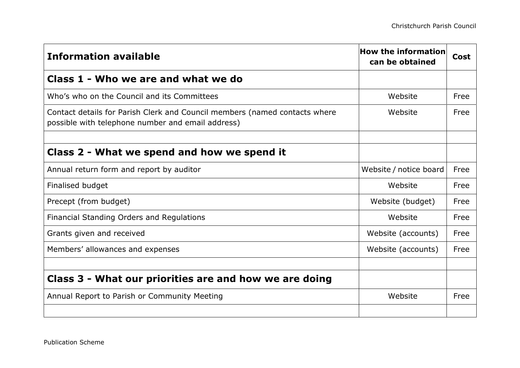| <b>Information available</b>                                                                                                    | How the information<br>can be obtained | Cost |
|---------------------------------------------------------------------------------------------------------------------------------|----------------------------------------|------|
| Class 1 - Who we are and what we do                                                                                             |                                        |      |
| Who's who on the Council and its Committees                                                                                     | Website                                | Free |
| Contact details for Parish Clerk and Council members (named contacts where<br>possible with telephone number and email address) | Website                                | Free |
|                                                                                                                                 |                                        |      |
| Class 2 - What we spend and how we spend it                                                                                     |                                        |      |
| Annual return form and report by auditor                                                                                        | Website / notice board                 | Free |
| Finalised budget                                                                                                                | Website                                | Free |
| Precept (from budget)                                                                                                           | Website (budget)                       | Free |
| Financial Standing Orders and Regulations                                                                                       | Website                                | Free |
| Grants given and received                                                                                                       | Website (accounts)                     | Free |
| Members' allowances and expenses                                                                                                | Website (accounts)                     | Free |
|                                                                                                                                 |                                        |      |
| Class 3 - What our priorities are and how we are doing                                                                          |                                        |      |
| Annual Report to Parish or Community Meeting                                                                                    | Website                                | Free |
|                                                                                                                                 |                                        |      |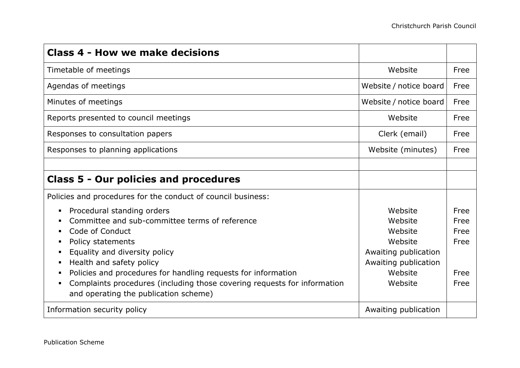| <b>Class 4 - How we make decisions</b>                                                                                                                                                                                                                                                                                                                                                      |                                                                                                                |                                              |
|---------------------------------------------------------------------------------------------------------------------------------------------------------------------------------------------------------------------------------------------------------------------------------------------------------------------------------------------------------------------------------------------|----------------------------------------------------------------------------------------------------------------|----------------------------------------------|
| Timetable of meetings                                                                                                                                                                                                                                                                                                                                                                       | Website                                                                                                        | Free                                         |
| Agendas of meetings                                                                                                                                                                                                                                                                                                                                                                         | Website / notice board                                                                                         | Free                                         |
| Minutes of meetings                                                                                                                                                                                                                                                                                                                                                                         | Website / notice board                                                                                         | Free                                         |
| Reports presented to council meetings                                                                                                                                                                                                                                                                                                                                                       | Website                                                                                                        | Free                                         |
| Responses to consultation papers                                                                                                                                                                                                                                                                                                                                                            | Clerk (email)                                                                                                  | Free                                         |
| Responses to planning applications                                                                                                                                                                                                                                                                                                                                                          | Website (minutes)                                                                                              | Free                                         |
|                                                                                                                                                                                                                                                                                                                                                                                             |                                                                                                                |                                              |
| <b>Class 5 - Our policies and procedures</b>                                                                                                                                                                                                                                                                                                                                                |                                                                                                                |                                              |
| Policies and procedures for the conduct of council business:                                                                                                                                                                                                                                                                                                                                |                                                                                                                |                                              |
| Procedural standing orders<br>٠<br>Committee and sub-committee terms of reference<br>Code of Conduct<br>Policy statements<br>Equality and diversity policy<br>п<br>Health and safety policy<br>٠<br>Policies and procedures for handling requests for information<br>Complaints procedures (including those covering requests for information<br>٠<br>and operating the publication scheme) | Website<br>Website<br>Website<br>Website<br>Awaiting publication<br>Awaiting publication<br>Website<br>Website | Free<br>Free<br>Free<br>Free<br>Free<br>Free |
| Information security policy                                                                                                                                                                                                                                                                                                                                                                 | Awaiting publication                                                                                           |                                              |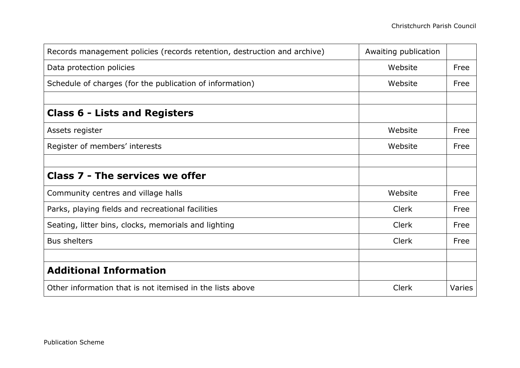| Records management policies (records retention, destruction and archive) | Awaiting publication |        |
|--------------------------------------------------------------------------|----------------------|--------|
| Data protection policies                                                 | Website              | Free   |
| Schedule of charges (for the publication of information)                 | Website              | Free   |
|                                                                          |                      |        |
| <b>Class 6 - Lists and Registers</b>                                     |                      |        |
| Assets register                                                          | Website              | Free   |
| Register of members' interests                                           | Website              | Free   |
|                                                                          |                      |        |
| <b>Class 7 - The services we offer</b>                                   |                      |        |
| Community centres and village halls                                      | Website              | Free   |
| Parks, playing fields and recreational facilities                        | <b>Clerk</b>         | Free   |
| Seating, litter bins, clocks, memorials and lighting                     | <b>Clerk</b>         | Free   |
| <b>Bus shelters</b>                                                      | Clerk                | Free   |
|                                                                          |                      |        |
| <b>Additional Information</b>                                            |                      |        |
| Other information that is not itemised in the lists above                | <b>Clerk</b>         | Varies |